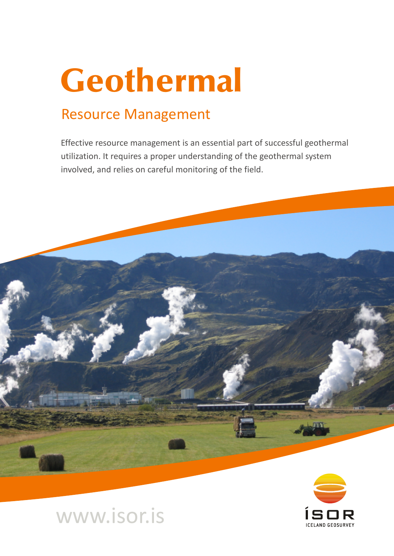# Geothermal

# Resource Management

Effective resource management is an essential part of successful geothermal utilization. It requires a proper understanding of the geothermal system involved, and relies on careful monitoring of the field.